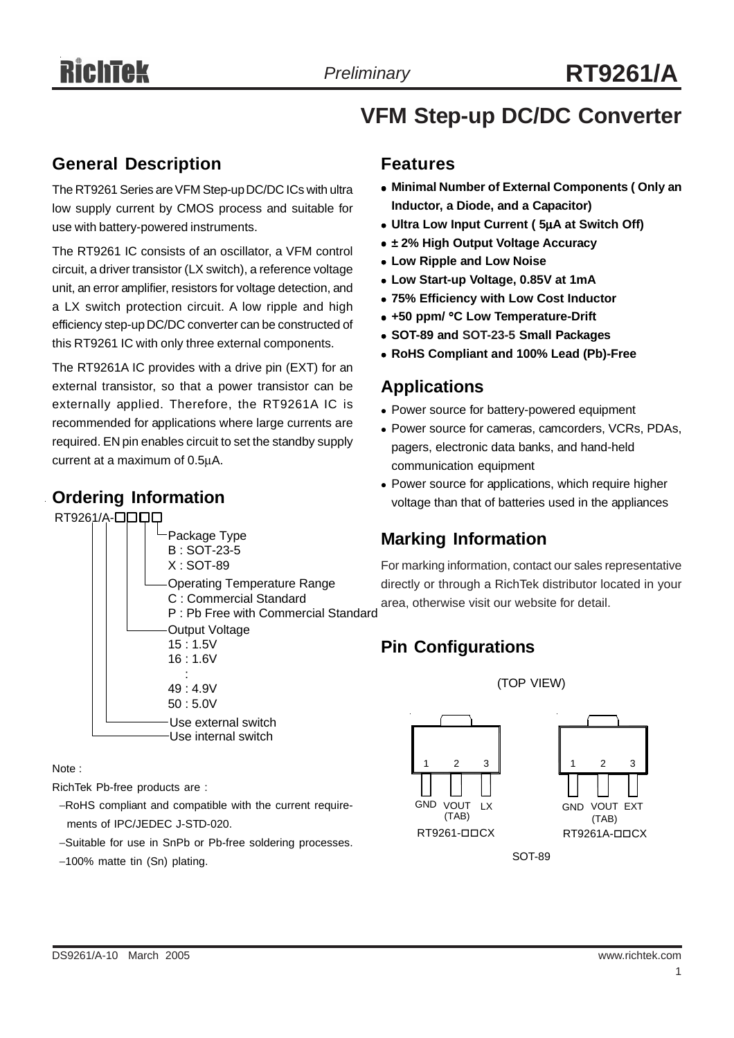# **VFM Step-up DC/DC Converter**

#### **General Description**

The RT9261 Series are VFM Step-up DC/DC ICs with ultra low supply current by CMOS process and suitable for use with battery-powered instruments.

The RT9261 IC consists of an oscillator, a VFM control circuit, a driver transistor (LX switch), a reference voltage unit, an error amplifier, resistors for voltage detection, and a LX switch protection circuit. A low ripple and high efficiency step-up DC/DC converter can be constructed of this RT9261 IC with only three external components.

The RT9261A IC provides with a drive pin (EXT) for an external transistor, so that a power transistor can be externally applied. Therefore, the RT9261A IC is recommended for applications where large currents are required. EN pin enables circuit to set the standby supply current at a maximum of 0.5μA.

#### **Ordering Information**

RT9261/A-**QQQ** 

#### Package Type B : SOT-23-5 X : SOT-89 Operating Temperature Range C : Commercial Standard P : Pb Free with Commercial Standard Output Voltage 15 : 1.5V 16 : 1.6V : 49 : 4.9V 50 : 5.0V Use external switch Use internal switch

Note :

RichTek Pb-free products are :

- −RoHS compliant and compatible with the current require ments of IPC/JEDEC J-STD-020.
- −Suitable for use in SnPb or Pb-free soldering processes.
- −100% matte tin (Sn) plating.

#### **Features**

- **Minimal Number of External Components ( Only an Inductor, a Diode, and a Capacitor)**
- <sup>z</sup> **Ultra Low Input Current ( 5**μ**A at Switch Off)**
- $\bullet$  **± 2% High Output Voltage Accuracy**
- **Low Ripple and Low Noise**
- <sup>z</sup> **Low Start-up Voltage, 0.85V at 1mA**
- <sup>z</sup> **75% Efficiency with Low Cost Inductor**
- <sup>z</sup> **+50 ppm/** °**C Low Temperature-Drift**
- <sup>z</sup> **SOT-89 and SOT-23-5 Small Packages**
- <sup>z</sup> **RoHS Compliant and 100% Lead (Pb)-Free**

#### **Applications**

- Power source for battery-powered equipment
- Power source for cameras, camcorders, VCRs, PDAs, pagers, electronic data banks, and hand-held communication equipment
- Power source for applications, which require higher voltage than that of batteries used in the appliances

#### **Marking Information**

For marking information, contact our sales representative directly or through a RichTek distributor located in your area, otherwise visit our website for detail.

(TOP VIEW)

### **Pin Configurations**

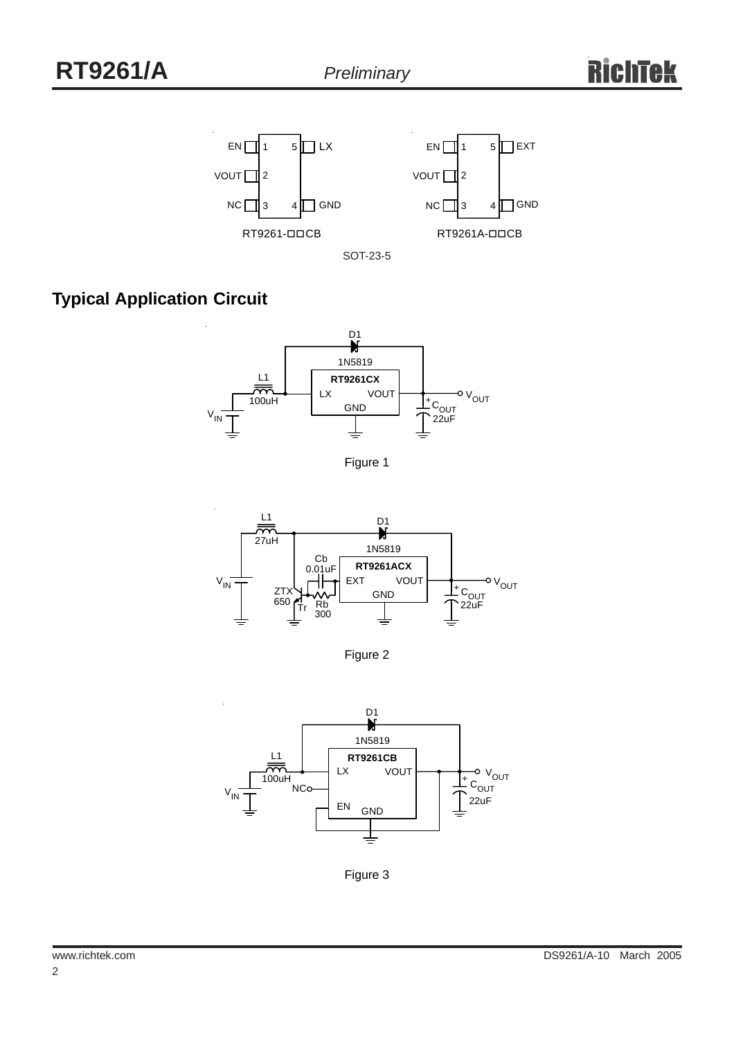

SOT-23-5

# **Typical Application Circuit**



Figure 1



Figure 2



Figure 3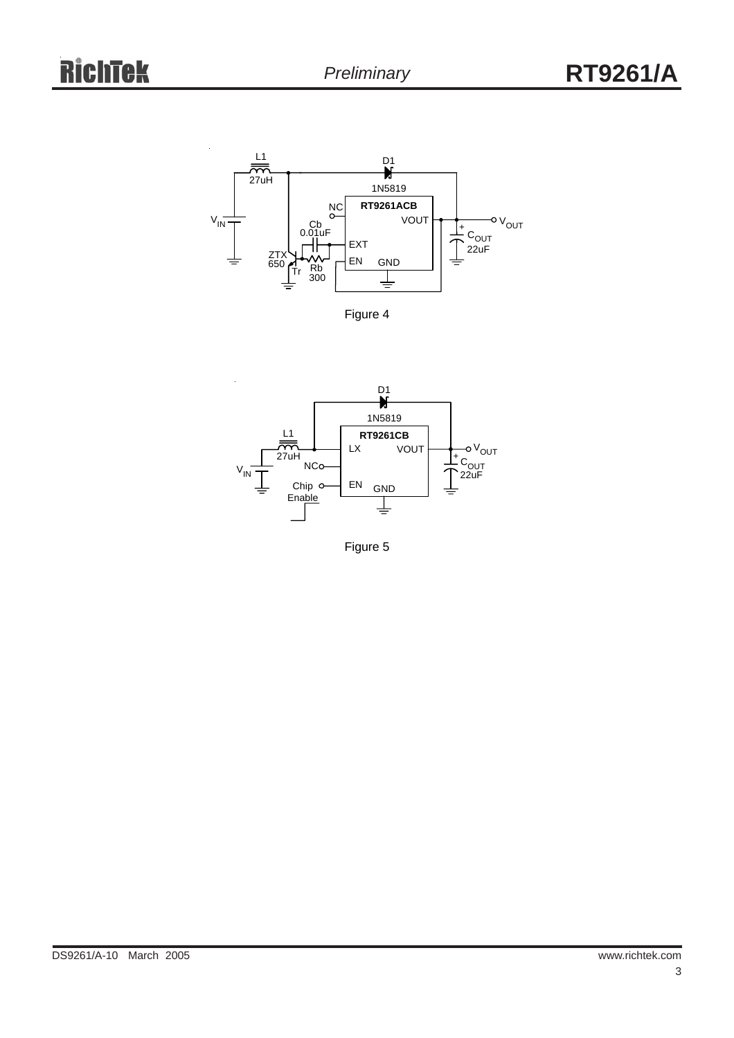

Figure 4



Figure 5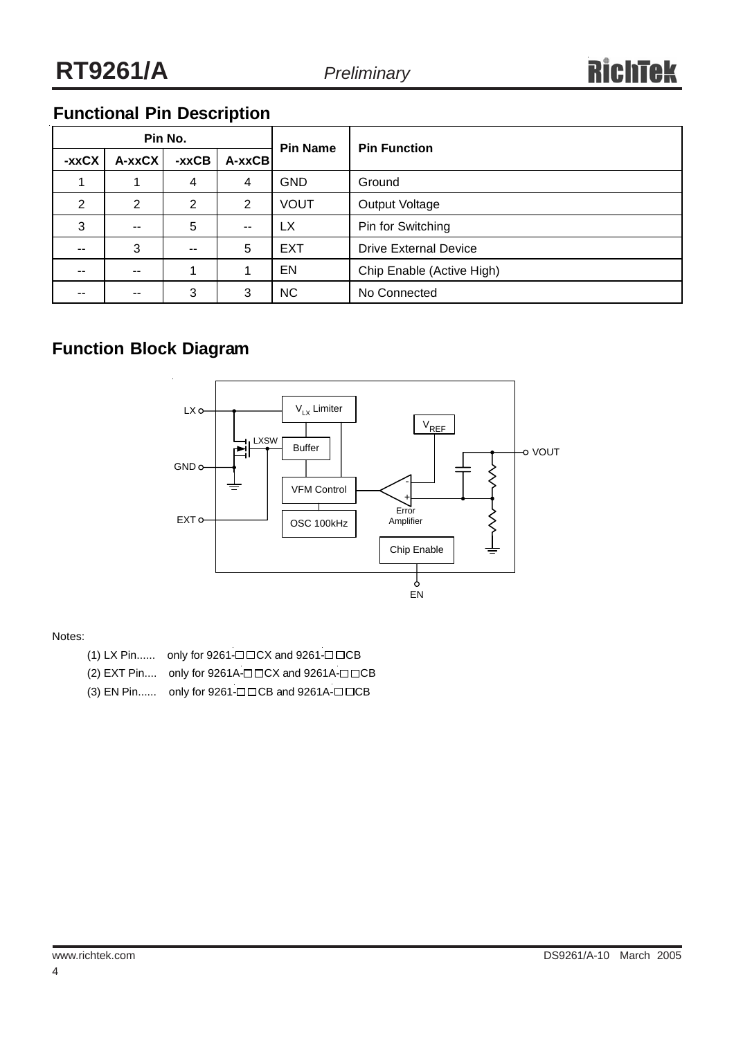# **Functional Pin Description**

| Pin No. |                |       |            | <b>Pin Name</b> | <b>Pin Function</b>          |  |
|---------|----------------|-------|------------|-----------------|------------------------------|--|
| -xxCX   | A-xxCX         | -xxCB | $A - xxCB$ |                 |                              |  |
|         |                | 4     | 4          | <b>GND</b>      | Ground                       |  |
| 2       | $\overline{2}$ | 2     | 2          | <b>VOUT</b>     | Output Voltage               |  |
| 3       | --             | 5     | $- -$      | LX              | Pin for Switching            |  |
| $- -$   | 3              | $- -$ | 5          | <b>EXT</b>      | <b>Drive External Device</b> |  |
| $- -$   | --             |       |            | EN              | Chip Enable (Active High)    |  |
| $- -$   | --             | 3     | 3          | <b>NC</b>       | No Connected                 |  |

### **Function Block Diagram**



#### Notes:

- $(1)$  LX Pin...... only for 9261- $\Box$  CX and 9261- $\Box$  CB
- $(2)$  EXT Pin.... only for 9261A- $\square$   $\square$ CX and 9261A- $\square$   $\square$ CB
- $(3)$  EN Pin...... only for 9261- $\Box$  CB and 9261A- $\Box$  CCB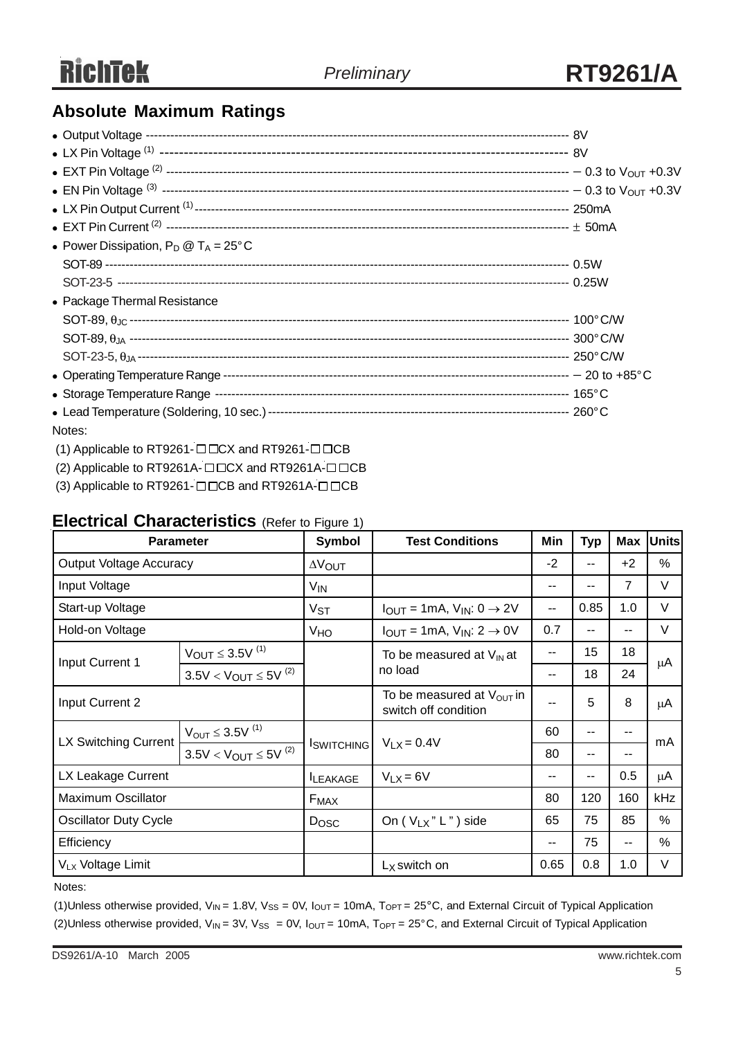# **Absolute Maximum Ratings**

| • Power Dissipation, $P_D @ T_A = 25^{\circ}C$ |  |
|------------------------------------------------|--|
|                                                |  |
|                                                |  |
| • Package Thermal Resistance                   |  |
|                                                |  |
|                                                |  |
|                                                |  |
|                                                |  |
|                                                |  |
|                                                |  |
| Notes:                                         |  |

- (1) Applicable to RT9261- $\square$  $\square$ CX and RT9261- $\square$  $\square$ CB
- (2) Applicable to RT9261A- $\square\square$ CX and RT9261A- $\square\square$ CB
- (3) Applicable to RT9261- $\square \square$ CB and RT9261A- $\square \square$ CB

#### **Electrical Characteristics** (Refer to Figure 1)

| <b>Parameter</b>               |                                | Symbol            | <b>Test Conditions</b>                                        | Min  | <b>Typ</b>               | <b>Max</b>     | <b>Units</b> |
|--------------------------------|--------------------------------|-------------------|---------------------------------------------------------------|------|--------------------------|----------------|--------------|
| <b>Output Voltage Accuracy</b> |                                | <b>AVOUT</b>      |                                                               | $-2$ | $\overline{\phantom{a}}$ | $+2$           | %            |
| Input Voltage                  |                                | V <sub>IN</sub>   |                                                               | --   | --                       | $\overline{7}$ | V            |
| Start-up Voltage               |                                | $V_{ST}$          | $I_{OUT} = 1mA$ , $V_{IN}: 0 \rightarrow 2V$                  | --   | 0.85                     | 1.0            | V            |
| Hold-on Voltage                |                                | VHO               | $I_{OUT} = 1mA$ , $V_{IN}: 2 \rightarrow 0V$                  | 0.7  | $- -$                    | --             | V            |
|                                | $V_{OUT}$ $\leq$ 3.5V $^{(1)}$ |                   | To be measured at $V_{IN}$ at                                 | --   | 15                       | 18             | μA           |
| Input Current 1                | $3.5V < V_{OUT} \leq 5V^{(2)}$ |                   | no load                                                       | --   | 18                       | 24             |              |
| Input Current 2                |                                |                   | To be measured at $V_{\text{OUT}}$ in<br>switch off condition |      | 5                        | 8              | μA           |
| LX Switching Current           | $V_{OUT}$ $\leq$ 3.5V $^{(1)}$ |                   |                                                               | 60   | $-$                      | --             |              |
|                                | $3.5V < V_{OUT} \leq 5V^{(2)}$ | <b>ISWITCHING</b> | $V_{LX} = 0.4V$                                               | 80   | $\sim$ $\sim$            | --             | mA           |
| LX Leakage Current             |                                | <b>ILEAKAGE</b>   | $V_{LX} = 6V$                                                 | --   | --                       | 0.5            | $\mu$ A      |
| <b>Maximum Oscillator</b>      |                                | $F_{MAX}$         |                                                               | 80   | 120                      | 160            | kHz          |
| <b>Oscillator Duty Cycle</b>   |                                | Dosc              | On ( $V_{LX}$ " L") side                                      | 65   | 75                       | 85             | %            |
| Efficiency                     |                                |                   |                                                               | --   | 75                       | --             | %            |
| V <sub>LX</sub> Voltage Limit  |                                |                   | $LX$ switch on                                                | 0.65 | 0.8                      | 1.0            | V            |

Notes:

(1)Unless otherwise provided,  $V_{IN}$  = 1.8V,  $V_{SS}$  = 0V,  $I_{OUT}$  = 10mA,  $T_{OPT}$  = 25°C, and External Circuit of Typical Application (2)Unless otherwise provided,  $V_{IN} = 3V$ ,  $V_{SS} = 0V$ ,  $I_{OUT} = 10mA$ ,  $T_{OPT} = 25^{\circ}C$ , and External Circuit of Typical Application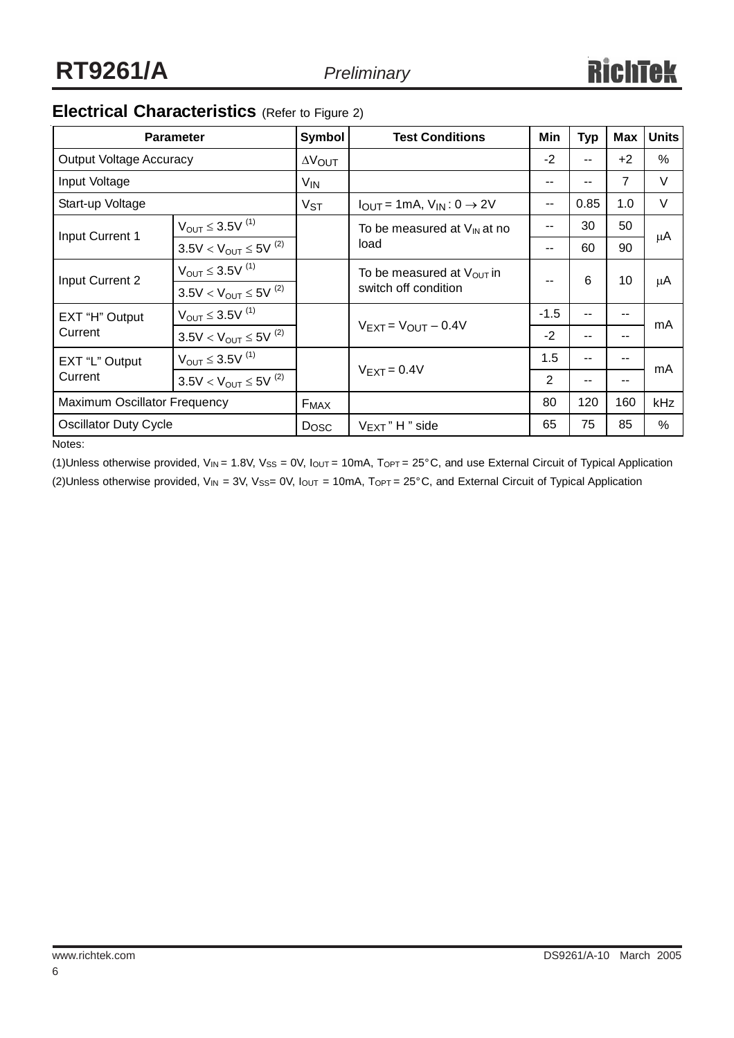# **Electrical Characteristics** (Refer to Figure 2)

|                              | <b>Parameter</b>               | Symbol          | <b>Test Conditions</b>                          | Min    | <b>Typ</b> | <b>Max</b>     | <b>Units</b> |
|------------------------------|--------------------------------|-----------------|-------------------------------------------------|--------|------------|----------------|--------------|
| Output Voltage Accuracy      |                                | <b>AVOUT</b>    |                                                 | $-2$   | --         | $+2$           | $\%$         |
| Input Voltage                |                                | V <sub>IN</sub> |                                                 | $- -$  | --         | $\overline{7}$ | V            |
| Start-up Voltage             |                                | V <sub>ST</sub> | $I_{OUT} = 1mA$ , $V_{IN}$ : 0 $\rightarrow$ 2V | $-$    | 0.85       | 1.0            | V            |
| Input Current 1              | $V_{OUT} \leq 3.5V^{(1)}$      |                 | To be measured at $V_{\text{IN}}$ at no         | --     | 30         | 50             | μA           |
|                              | $3.5V < V_{OUT} \leq 5V^{(2)}$ |                 | load                                            | $- -$  | 60         | 90             |              |
| Input Current 2              | $V_{OUT} \leq 3.5V^{(1)}$      |                 | To be measured at $V_{\text{OUT}}$ in           |        | 6          | 10             | μA           |
|                              | $3.5V < V_{OUT} \leq 5V^{(2)}$ |                 | switch off condition                            |        |            |                |              |
| EXT "H" Output               | $V_{OUT} \leq 3.5V^{(1)}$      |                 |                                                 | $-1.5$ | --         | --             | mA           |
| Current                      | $3.5V < V_{OUT} \leq 5V^{(2)}$ |                 | $V$ EXT = $V$ OUT $-$ 0.4V                      | $-2$   | --         | --             |              |
| EXT "L" Output               | $V_{OUT} \leq 3.5V^{(1)}$      |                 |                                                 | 1.5    | --         | --             | mA           |
| Current                      | $3.5V < V_{OUT} \leq 5V^{(2)}$ |                 | $V_{\text{EXT}} = 0.4V$                         | 2      | --         | --             |              |
| Maximum Oscillator Frequency |                                | $F_{MAX}$       |                                                 | 80     | 120        | 160            | kHz          |
| <b>Oscillator Duty Cycle</b> |                                | <b>Dosc</b>     | $V_{\text{EXT}}$ " H " side                     | 65     | 75         | 85             | ℅            |

Notes:

(1)Unless otherwise provided,  $V_{IN}$  = 1.8V,  $V_{SS}$  = 0V,  $I_{OUT}$  = 10mA,  $T_{OPT}$  = 25°C, and use External Circuit of Typical Application (2)Unless otherwise provided,  $V_{IN}$  = 3V,  $V_{SS}$ = 0V,  $I_{OUT}$  = 10mA,  $T_{OPT}$  = 25°C, and External Circuit of Typical Application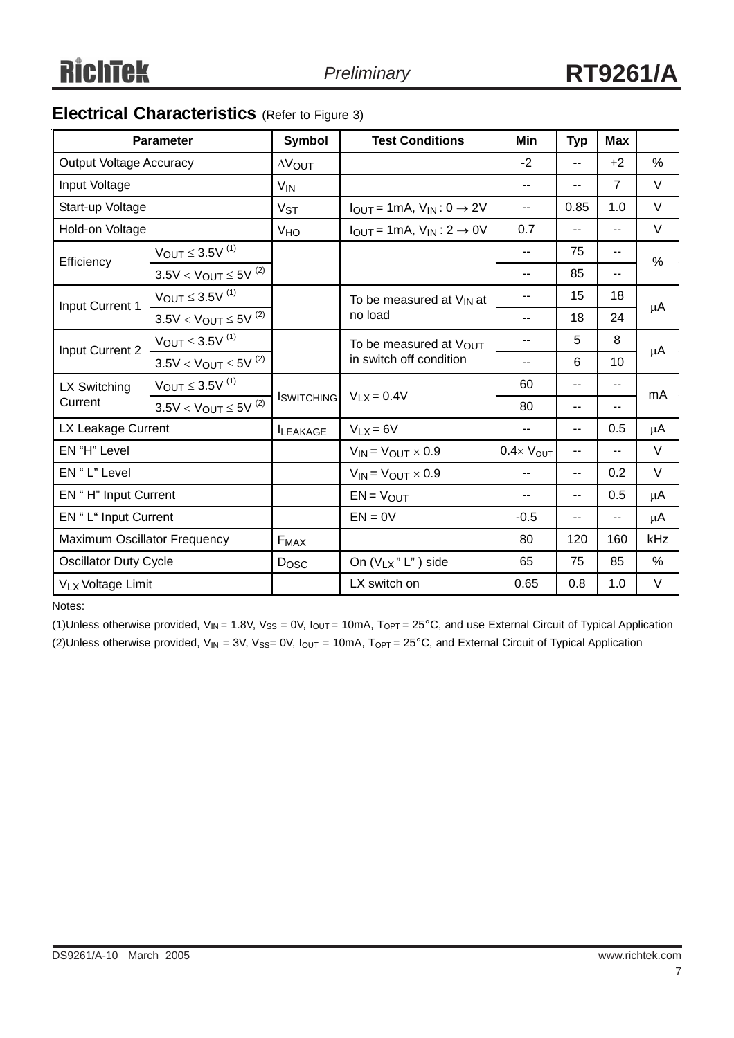### **Electrical Characteristics** (Refer to Figure 3)

|                                | <b>Parameter</b>               | <b>Symbol</b>         | <b>Test Conditions</b>                          | Min                         | <b>Typ</b>               | <b>Max</b>               |               |
|--------------------------------|--------------------------------|-----------------------|-------------------------------------------------|-----------------------------|--------------------------|--------------------------|---------------|
| <b>Output Voltage Accuracy</b> |                                | <b>AVOUT</b>          |                                                 | $-2$                        | --                       | $+2$                     | %             |
| Input Voltage                  |                                | <b>V<sub>IN</sub></b> |                                                 | --                          | $\overline{\phantom{a}}$ | $\overline{7}$           | V             |
| Start-up Voltage               |                                | <b>V<sub>ST</sub></b> | $I_{OUT} = 1mA, V_{IN}: 0 \rightarrow 2V$       | $-$                         | 0.85                     | 1.0                      | V             |
| Hold-on Voltage                |                                | <b>V<sub>HO</sub></b> | $I_{OUT} = 1mA$ , $V_{IN}$ : 2 $\rightarrow$ 0V | 0.7                         | $\overline{\phantom{a}}$ | $\overline{a}$           | V             |
| Efficiency                     | $V_{OUT}$ $\leq$ 3.5V $^{(1)}$ |                       |                                                 | $-$                         | 75                       | $\overline{\phantom{m}}$ | $\frac{0}{0}$ |
|                                | $3.5V < V_{OUT} \le 5V^{(2)}$  |                       |                                                 | $-$                         | 85                       | --                       |               |
| Input Current 1                | $V_{OUT}$ $\leq$ 3.5V $^{(1)}$ |                       | To be measured at V <sub>IN</sub> at            | $-$                         | 15                       | 18                       | μA            |
|                                | $3.5V < V_{OUT} \le 5V^{(2)}$  |                       | no load                                         | $-1$                        | 18                       | 24                       |               |
| Input Current 2                | $V_{OUT}$ $\leq$ 3.5V $^{(1)}$ |                       | To be measured at VOUT                          | --                          | 5                        | 8                        | μA            |
|                                | $3.5V < V_{OUT} \leq 5V^{(2)}$ |                       | in switch off condition                         | $-$                         | 6                        | 10                       |               |
| LX Switching                   | $V_{OUT}$ $\leq$ 3.5V $^{(1)}$ |                       |                                                 | 60                          | --                       | $-$                      | mA            |
| Current                        | $3.5V < V_{OUT} \leq 5V^{(2)}$ | <b>I</b> switching    | $V_{LX} = 0.4V$                                 | 80                          | $\overline{\phantom{a}}$ | $\overline{\phantom{a}}$ |               |
| LX Leakage Current             |                                | <b>ILEAKAGE</b>       | $V_{LX} = 6V$                                   | $-$                         | $\overline{\phantom{a}}$ | 0.5                      | μA            |
| EN "H" Level                   |                                |                       | $V_{IN} = V_{OUT} \times 0.9$                   | $0.4 \times V_{\text{OUT}}$ | --                       | $\overline{a}$           | $\vee$        |
| EN "L" Level                   |                                |                       | $V_{IN} = V_{OUT} \times 0.9$                   |                             | $\overline{\phantom{a}}$ | 0.2                      | V             |
| EN "H" Input Current           |                                |                       | $EN = VOUT$                                     | $-$                         | $-$                      | 0.5                      | μA            |
| EN " L" Input Current          |                                |                       | $EN = 0V$                                       | $-0.5$                      | --                       | $-$                      | μA            |
| Maximum Oscillator Frequency   |                                | $F_{MAX}$             |                                                 | 80                          | 120                      | 160                      | kHz           |
| <b>Oscillator Duty Cycle</b>   |                                | Dosc                  | On $(V_{LX}$ " L" ) side                        | 65                          | 75                       | 85                       | $\%$          |
| VLx Voltage Limit              |                                |                       | LX switch on                                    | 0.65                        | 0.8                      | 1.0                      | V             |

Notes:

(1)Unless otherwise provided,  $V_{IN}$  = 1.8V,  $V_{SS}$  = 0V,  $I_{OUT}$  = 10mA,  $T_{OPT}$  = 25°C, and use External Circuit of Typical Application (2)Unless otherwise provided,  $V_{IN}$  = 3V,  $V_{SS}$ = 0V,  $I_{OUT}$  = 10mA,  $T_{OPT}$  = 25°C, and External Circuit of Typical Application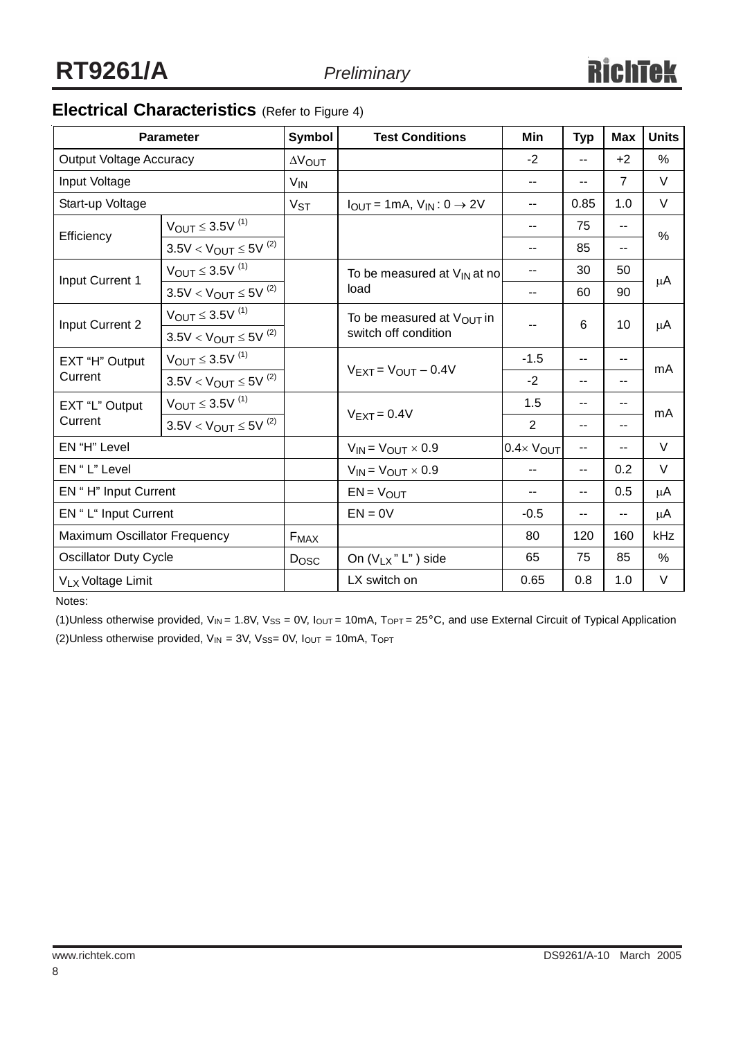# **Electrical Characteristics** (Refer to Figure 4)

|                                | <b>Parameter</b>               | <b>Symbol</b>         | <b>Test Conditions</b>                          | Min                      | <b>Typ</b>               | <b>Max</b>     | <b>Units</b> |
|--------------------------------|--------------------------------|-----------------------|-------------------------------------------------|--------------------------|--------------------------|----------------|--------------|
| <b>Output Voltage Accuracy</b> |                                | <b>AVOUT</b>          |                                                 | $-2$                     | $\overline{\phantom{a}}$ | $+2$           | $\%$         |
| Input Voltage                  |                                | <b>V<sub>IN</sub></b> |                                                 | --                       | --                       | $\overline{7}$ | V            |
| Start-up Voltage               |                                | <b>V<sub>ST</sub></b> | $I_{OUT} = 1mA$ , $V_{IN}$ : 0 $\rightarrow$ 2V | $\overline{\phantom{a}}$ | 0.85                     | 1.0            | V            |
| Efficiency                     | $V_{OUT}$ $\leq$ 3.5V $^{(1)}$ |                       |                                                 | $- -$                    | 75                       | $\overline{a}$ | $\%$         |
|                                | $3.5V < V_{OUT} \leq 5V^{(2)}$ |                       |                                                 | --                       | 85                       | $\overline{a}$ |              |
| Input Current 1                | $V_{OUT} \leq 3.5V^{(1)}$      |                       | To be measured at $V_{IN}$ at no                | --                       | 30                       | 50             | μA           |
|                                | $3.5V < V_{OUT} \le 5V^{(2)}$  |                       | load                                            | $\frac{1}{2}$            | 60                       | 90             |              |
| Input Current 2                | $V_{OUT} \leq 3.5V^{(1)}$      |                       | To be measured at Vout in                       | $- -$                    | 6                        | 10             | μA           |
|                                | $3.5V < V_{OUT} \le 5V^{(2)}$  |                       | switch off condition                            |                          |                          |                |              |
| EXT "H" Output                 | $V_{OUT} \leq 3.5V^{(1)}$      |                       | $V$ FXT = $V$ OUT - 0.4V                        | $-1.5$                   | $\overline{\phantom{a}}$ | $-$            | mA           |
| Current                        | $3.5V < V_{OUT} \le 5V^{(2)}$  |                       |                                                 | $-2$                     | $\overline{\phantom{a}}$ | $\overline{a}$ |              |
| EXT "L" Output                 | $V_{OUT} \leq 3.5V^{(1)}$      |                       | $V$ FXT = 0.4 $V$                               |                          | $\overline{\phantom{a}}$ | $\overline{a}$ | mA           |
| Current                        | $3.5V < V_{OUT} \le 5V^{(2)}$  |                       |                                                 | $\overline{2}$           | $\overline{\phantom{a}}$ | $\overline{a}$ |              |
| EN "H" Level                   |                                |                       | $V_{IN} = V_{OUT} \times 0.9$                   | $0.4 \times$ $V_{OUT}$   | --                       | $\overline{a}$ | V            |
| EN "L" Level                   |                                |                       | $V_{IN} = V_{OUT} \times 0.9$                   | --                       | --                       | 0.2            | $\vee$       |
| EN "H" Input Current           |                                |                       | $EN = VOUT$                                     | --                       | $-$                      | 0.5            | μA           |
| EN "L" Input Current           |                                |                       | $EN = 0V$                                       | $-0.5$                   | $-$                      | --             | μA           |
| Maximum Oscillator Frequency   |                                | $F_{MAX}$             |                                                 | 80                       | 120                      | 160            | kHz          |
| <b>Oscillator Duty Cycle</b>   |                                | Dosc                  | On $(V_{LX}$ " L" ) side                        | 65                       | 75                       | 85             | $\%$         |
| VLx Voltage Limit              |                                |                       | LX switch on                                    | 0.65                     | 0.8                      | 1.0            | V            |

Notes:

(1)Unless otherwise provided,  $V_{IN}$  = 1.8V,  $V_{SS}$  = 0V,  $I_{OUT}$  = 10mA,  $T_{OPT}$  = 25°C, and use External Circuit of Typical Application (2)Unless otherwise provided,  $V_{IN} = 3V$ ,  $V_{SS} = 0V$ ,  $I_{OUT} = 10mA$ ,  $T_{OPT}$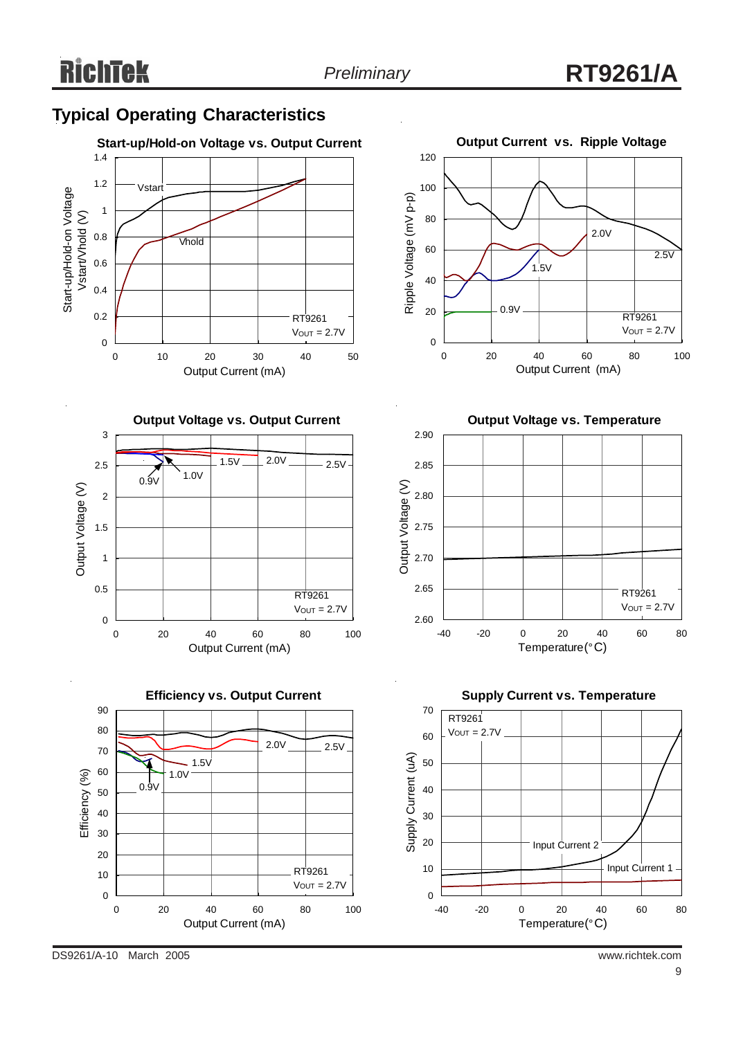### **Typical Operating Characteristics**









**Output Voltage vs. Temperature**





DS9261/A-10 March 2005 www.richtek.com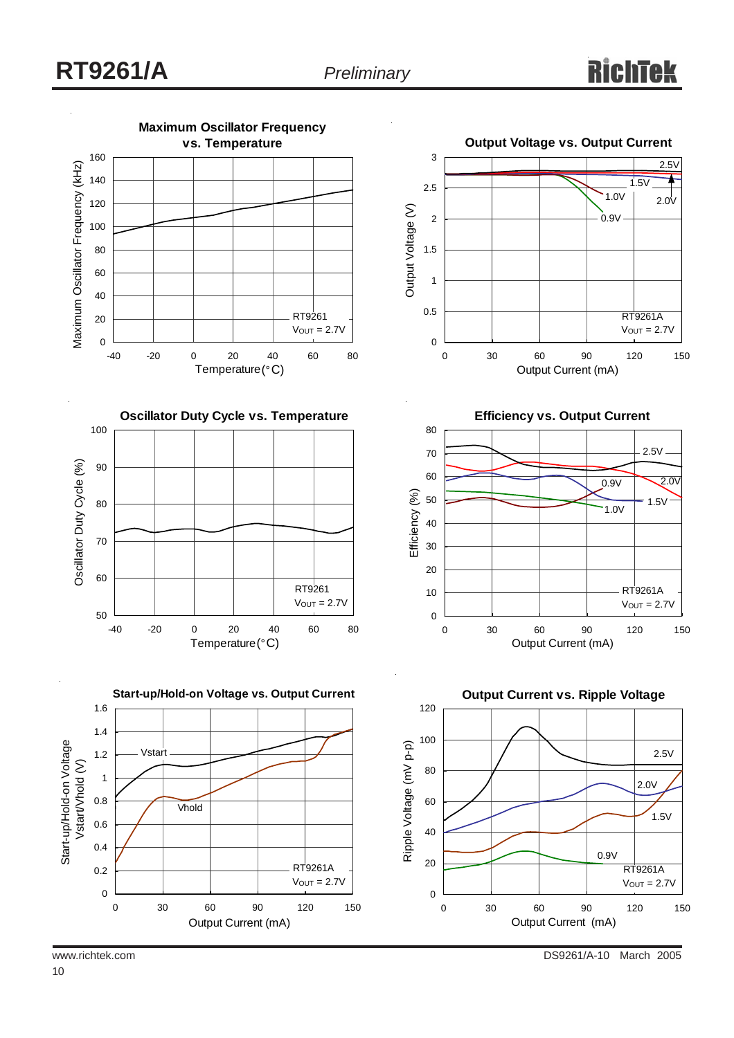

10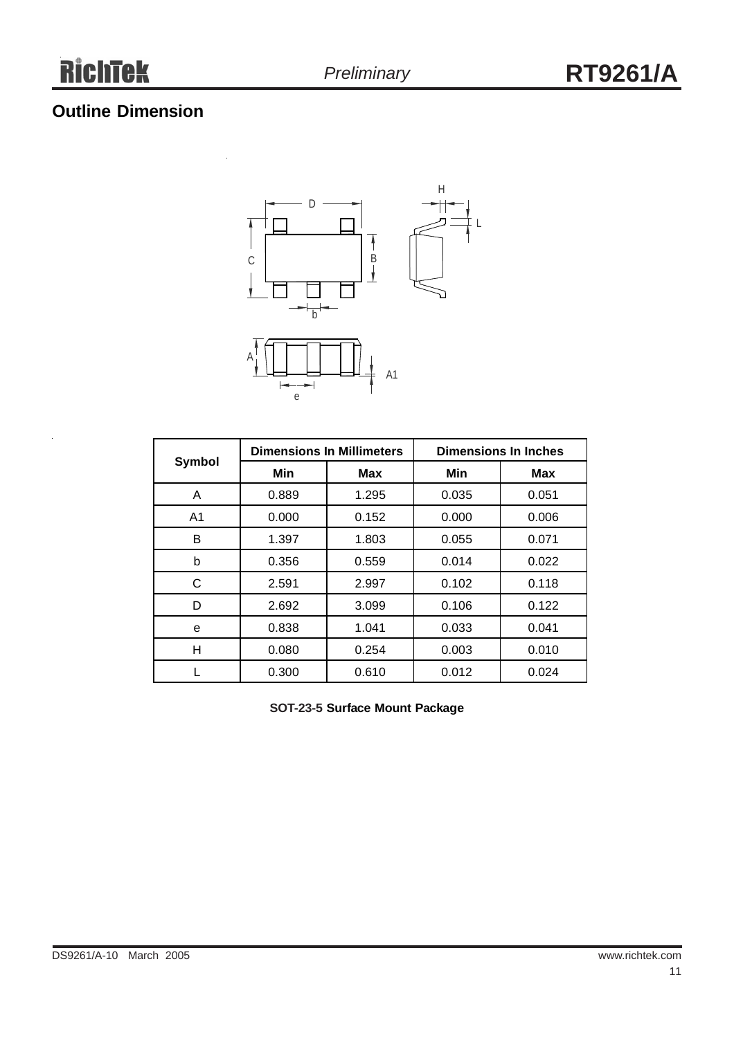# **Outline Dimension**



|                |       | <b>Dimensions In Millimeters</b> | <b>Dimensions In Inches</b> |            |  |  |
|----------------|-------|----------------------------------|-----------------------------|------------|--|--|
| Symbol         | Min   | Max                              | Min                         | <b>Max</b> |  |  |
| A              | 0.889 | 1.295                            | 0.035                       | 0.051      |  |  |
| A <sub>1</sub> | 0.000 | 0.152                            | 0.000                       | 0.006      |  |  |
| B              | 1.397 | 1.803                            | 0.055                       | 0.071      |  |  |
| b              | 0.356 | 0.559                            | 0.014                       | 0.022      |  |  |
| C              | 2.591 | 2.997                            | 0.102                       | 0.118      |  |  |
| D              | 2.692 | 3.099                            | 0.106                       | 0.122      |  |  |
| е              | 0.838 | 1.041                            | 0.033                       | 0.041      |  |  |
| н              | 0.080 | 0.254                            | 0.003                       | 0.010      |  |  |
|                | 0.300 | 0.610                            | 0.012                       | 0.024      |  |  |

**SOT-23-5 Surface Mount Package**